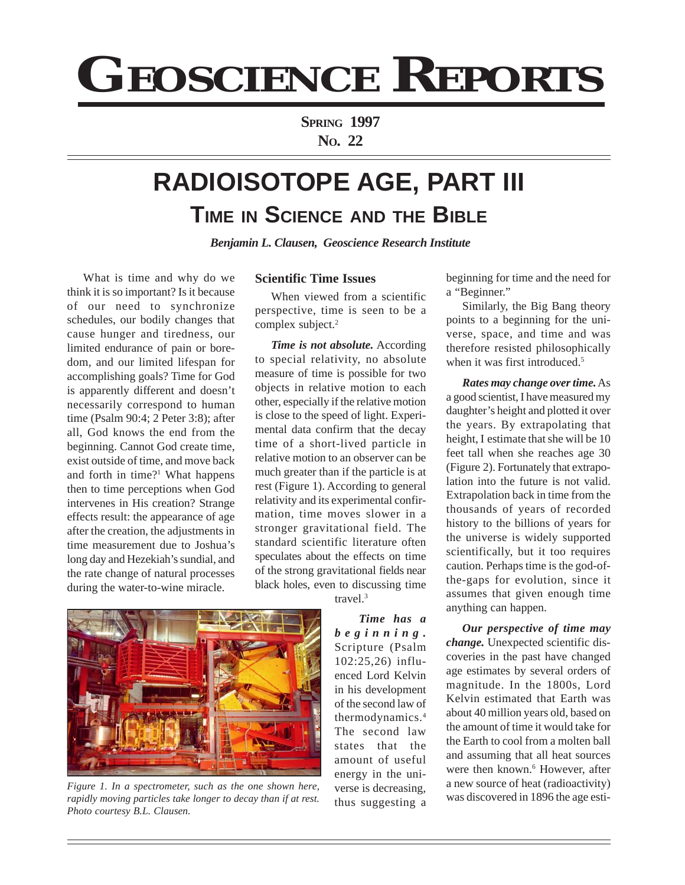# **GEOSCIENCE REPORTS**

**SPRING 1997 NO. 22**

# **RADIOISOTOPE AGE, PART III TIME IN SCIENCE AND THE BIBLE**

*Benjamin L. Clausen, Geoscience Research Institute*

What is time and why do we think it is so important? Is it because of our need to synchronize schedules, our bodily changes that cause hunger and tiredness, our limited endurance of pain or boredom, and our limited lifespan for accomplishing goals? Time for God is apparently different and doesn't necessarily correspond to human time (Psalm 90:4; 2 Peter 3:8); after all, God knows the end from the beginning. Cannot God create time, exist outside of time, and move back and forth in time?<sup>1</sup> What happens then to time perceptions when God intervenes in His creation? Strange effects result: the appearance of age after the creation, the adjustments in time measurement due to Joshua's long day and Hezekiah's sundial, and the rate change of natural processes during the water-to-wine miracle.

## **Scientific Time Issues**

When viewed from a scientific perspective, time is seen to be a complex subject.<sup>2</sup>

*Time is not absolute.* According to special relativity, no absolute measure of time is possible for two objects in relative motion to each other, especially if the relative motion is close to the speed of light. Experimental data confirm that the decay time of a short-lived particle in relative motion to an observer can be much greater than if the particle is at rest (Figure 1). According to general relativity and its experimental confirmation, time moves slower in a stronger gravitational field. The standard scientific literature often speculates about the effects on time of the strong gravitational fields near black holes, even to discussing time

travel.3

*Time has a beginning.* Scripture (Psalm 102:25,26) influenced Lord Kelvin in his development of the second law of thermodynamics.4 The second law states that the amount of useful energy in the universe is decreasing, thus suggesting a

beginning for time and the need for a "Beginner."

Similarly, the Big Bang theory points to a beginning for the universe, space, and time and was therefore resisted philosophically when it was first introduced.<sup>5</sup>

*Rates may change over time.* As a good scientist, I have measured my daughter's height and plotted it over the years. By extrapolating that height, I estimate that she will be 10 feet tall when she reaches age 30 (Figure 2). Fortunately that extrapolation into the future is not valid. Extrapolation back in time from the thousands of years of recorded history to the billions of years for the universe is widely supported scientifically, but it too requires caution. Perhaps time is the god-ofthe-gaps for evolution, since it assumes that given enough time anything can happen.

*Our perspective of time may change.* Unexpected scientific discoveries in the past have changed age estimates by several orders of magnitude. In the 1800s, Lord Kelvin estimated that Earth was about 40 million years old, based on the amount of time it would take for the Earth to cool from a molten ball and assuming that all heat sources were then known.<sup>6</sup> However, after a new source of heat (radioactivity) was discovered in 1896 the age esti-



*Figure 1. In a spectrometer, such as the one shown here, rapidly moving particles take longer to decay than if at rest. Photo courtesy B.L. Clausen.*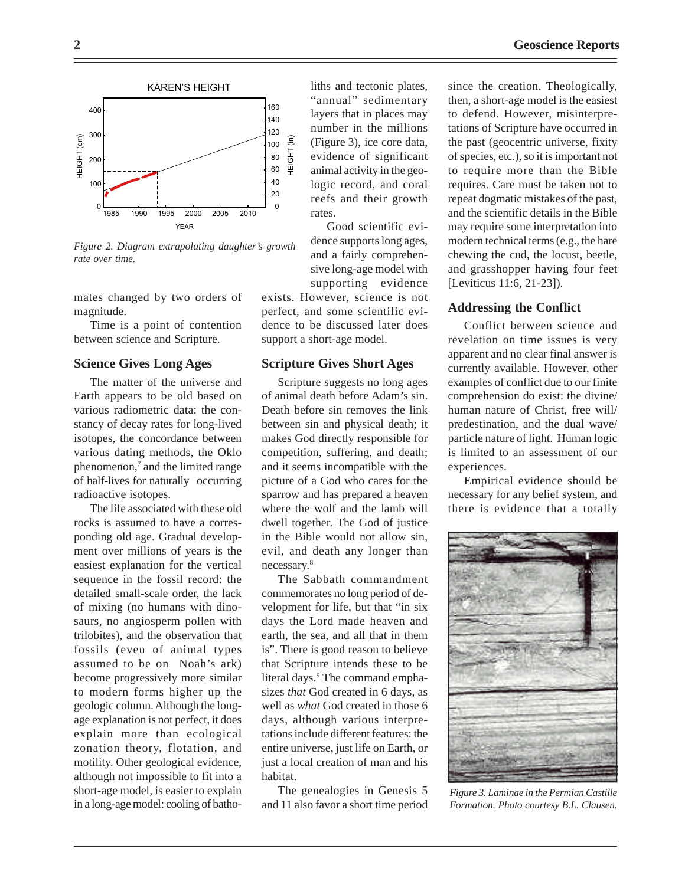

*Figure 2. Diagram extrapolating daughter's growth rate over time.*

mates changed by two orders of magnitude.

Time is a point of contention between science and Scripture.

#### **Science Gives Long Ages**

The matter of the universe and Earth appears to be old based on various radiometric data: the constancy of decay rates for long-lived isotopes, the concordance between various dating methods, the Oklo phenomenon,<sup>7</sup> and the limited range of half-lives for naturally occurring radioactive isotopes.

The life associated with these old rocks is assumed to have a corresponding old age. Gradual development over millions of years is the easiest explanation for the vertical sequence in the fossil record: the detailed small-scale order, the lack of mixing (no humans with dinosaurs, no angiosperm pollen with trilobites), and the observation that fossils (even of animal types assumed to be on Noah's ark) become progressively more similar to modern forms higher up the geologic column. Although the longage explanation is not perfect, it does explain more than ecological zonation theory, flotation, and motility. Other geological evidence, although not impossible to fit into a short-age model, is easier to explain in a long-age model: cooling of batholiths and tectonic plates, "annual" sedimentary layers that in places may number in the millions (Figure 3), ice core data, evidence of significant animal activity in the geologic record, and coral reefs and their growth rates.

Good scientific evidence supports long ages, and a fairly comprehensive long-age model with supporting evidence

exists. However, science is not perfect, and some scientific evidence to be discussed later does support a short-age model.

#### **Scripture Gives Short Ages**

Scripture suggests no long ages of animal death before Adam's sin. Death before sin removes the link between sin and physical death; it makes God directly responsible for competition, suffering, and death; and it seems incompatible with the picture of a God who cares for the sparrow and has prepared a heaven where the wolf and the lamb will dwell together. The God of justice in the Bible would not allow sin, evil, and death any longer than necessary.8

The Sabbath commandment commemorates no long period of development for life, but that "in six days the Lord made heaven and earth, the sea, and all that in them is". There is good reason to believe that Scripture intends these to be literal days.<sup>9</sup> The command emphasizes *that* God created in 6 days, as well as *what* God created in those 6 days, although various interpretations include different features: the entire universe, just life on Earth, or just a local creation of man and his habitat.

The genealogies in Genesis 5 and 11 also favor a short time period since the creation. Theologically, then, a short-age model is the easiest to defend. However, misinterpretations of Scripture have occurred in the past (geocentric universe, fixity of species, etc.), so it is important not to require more than the Bible requires. Care must be taken not to repeat dogmatic mistakes of the past, and the scientific details in the Bible may require some interpretation into modern technical terms (e.g., the hare chewing the cud, the locust, beetle, and grasshopper having four feet [Leviticus 11:6, 21-23]).

# **Addressing the Conflict**

Conflict between science and revelation on time issues is very apparent and no clear final answer is currently available. However, other examples of conflict due to our finite comprehension do exist: the divine/ human nature of Christ, free will/ predestination, and the dual wave/ particle nature of light. Human logic is limited to an assessment of our experiences.

Empirical evidence should be necessary for any belief system, and there is evidence that a totally



*Figure 3. Laminae in the Permian Castille Formation. Photo courtesy B.L. Clausen.*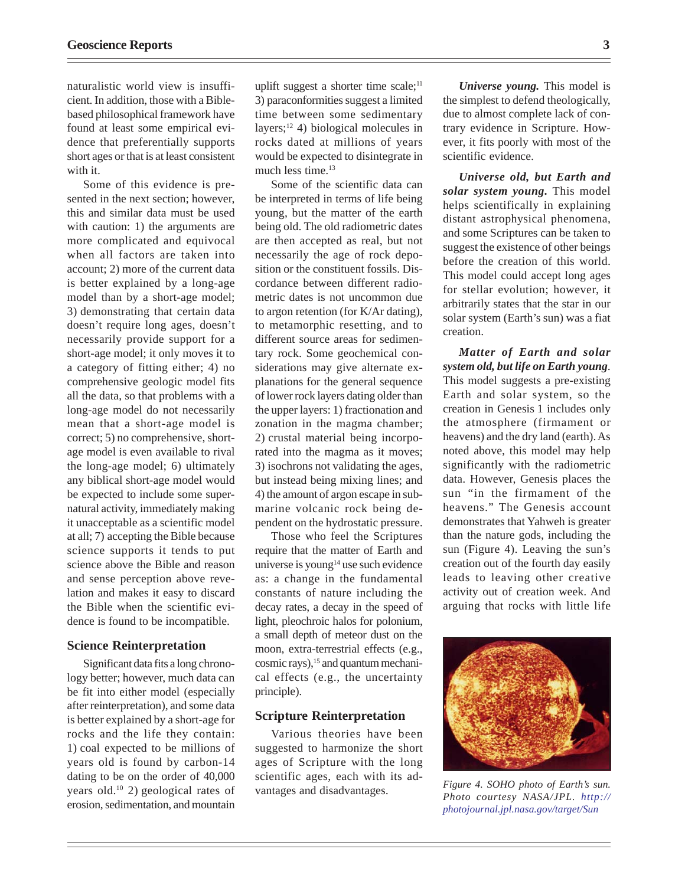naturalistic world view is insufficient. In addition, those with a Biblebased philosophical framework have found at least some empirical evidence that preferentially supports short ages or that is at least consistent with it.

Some of this evidence is presented in the next section; however, this and similar data must be used with caution: 1) the arguments are more complicated and equivocal when all factors are taken into account; 2) more of the current data is better explained by a long-age model than by a short-age model; 3) demonstrating that certain data doesn't require long ages, doesn't necessarily provide support for a short-age model; it only moves it to a category of fitting either; 4) no comprehensive geologic model fits all the data, so that problems with a long-age model do not necessarily mean that a short-age model is correct; 5) no comprehensive, shortage model is even available to rival the long-age model; 6) ultimately any biblical short-age model would be expected to include some supernatural activity, immediately making it unacceptable as a scientific model at all; 7) accepting the Bible because science supports it tends to put science above the Bible and reason and sense perception above revelation and makes it easy to discard the Bible when the scientific evidence is found to be incompatible.

### **Science Reinterpretation**

Significant data fits a long chronology better; however, much data can be fit into either model (especially after reinterpretation), and some data is better explained by a short-age for rocks and the life they contain: 1) coal expected to be millions of years old is found by carbon-14 dating to be on the order of 40,000 years old.10 2) geological rates of erosion, sedimentation, and mountain

uplift suggest a shorter time scale;<sup>11</sup> 3) paraconformities suggest a limited time between some sedimentary layers;12 4) biological molecules in rocks dated at millions of years would be expected to disintegrate in much less time.<sup>13</sup>

Some of the scientific data can be interpreted in terms of life being young, but the matter of the earth being old. The old radiometric dates are then accepted as real, but not necessarily the age of rock deposition or the constituent fossils. Discordance between different radiometric dates is not uncommon due to argon retention (for K/Ar dating), to metamorphic resetting, and to different source areas for sedimentary rock. Some geochemical considerations may give alternate explanations for the general sequence of lower rock layers dating older than the upper layers: 1) fractionation and zonation in the magma chamber; 2) crustal material being incorporated into the magma as it moves; 3) isochrons not validating the ages, but instead being mixing lines; and 4) the amount of argon escape in submarine volcanic rock being dependent on the hydrostatic pressure.

Those who feel the Scriptures require that the matter of Earth and universe is young<sup>14</sup> use such evidence as: a change in the fundamental constants of nature including the decay rates, a decay in the speed of light, pleochroic halos for polonium, a small depth of meteor dust on the moon, extra-terrestrial effects (e.g., cosmic rays),<sup>15</sup> and quantum mechanical effects (e.g., the uncertainty principle).

#### **Scripture Reinterpretation**

Various theories have been suggested to harmonize the short ages of Scripture with the long scientific ages, each with its advantages and disadvantages.

*Universe young.* This model is the simplest to defend theologically, due to almost complete lack of contrary evidence in Scripture. However, it fits poorly with most of the scientific evidence.

*Universe old, but Earth and solar system young.* This model helps scientifically in explaining distant astrophysical phenomena, and some Scriptures can be taken to suggest the existence of other beings before the creation of this world. This model could accept long ages for stellar evolution; however, it arbitrarily states that the star in our solar system (Earth's sun) was a fiat creation.

*Matter of Earth and solar system old, but life on Earth young*. This model suggests a pre-existing Earth and solar system, so the creation in Genesis 1 includes only the atmosphere (firmament or heavens) and the dry land (earth). As noted above, this model may help significantly with the radiometric data. However, Genesis places the sun "in the firmament of the heavens." The Genesis account demonstrates that Yahweh is greater than the nature gods, including the sun (Figure 4). Leaving the sun's creation out of the fourth day easily leads to leaving other creative activity out of creation week. And arguing that rocks with little life



*Figure 4. SOHO photo of Earth's sun. Photo courtesy NASA/JPL. [http://](http://photojournal.jpl.nasa.gov/target/Sun) [photojournal.jpl.nasa.gov/target/Sun](http://photojournal.jpl.nasa.gov/target/Sun)*